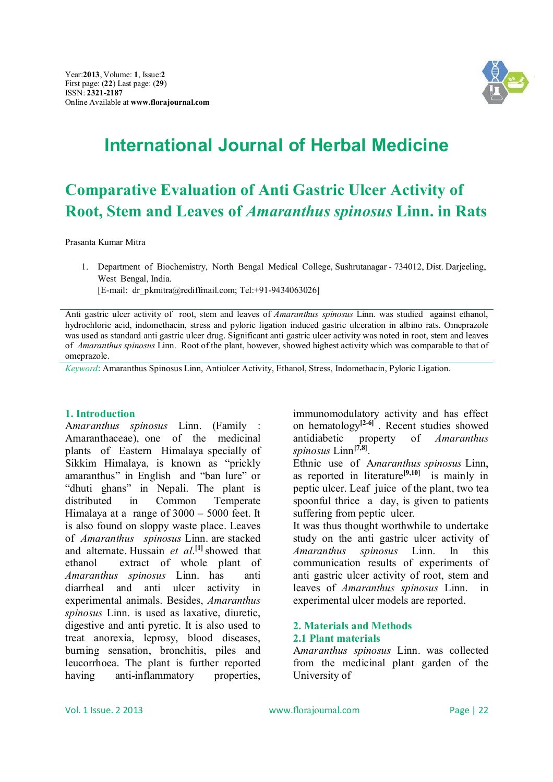

# **International Journal of Herbal Medicine**

## **Comparative Evaluation of Anti Gastric Ulcer Activity of Root, Stem and Leaves of** *Amaranthus spinosus* **Linn. in Rats**

Prasanta Kumar Mitra

1. Department of Biochemistry, North Bengal Medical College, Sushrutanagar - 734012, Dist. Darjeeling, West Bengal, India.

[E-mail: dr\_pkmitra@rediffmail.com; Tel:+91-9434063026]

*Keyword*: Amaranthus Spinosus Linn, Antiulcer Activity, Ethanol, Stress, Indomethacin, Pyloric Ligation.

#### **1. Introduction**

A*maranthus spinosus* Linn. (Family : Amaranthaceae), one of the medicinal plants of Eastern Himalaya specially of Sikkim Himalaya, is known as "prickly amaranthus" in English and "ban lure" or "dhuti ghans" in Nepali. The plant is distributed in Common Temperate Himalaya at a range of 3000 – 5000 feet. It is also found on sloppy waste place. Leaves of *Amaranthus spinosus* Linn. are stacked and alternate. Hussain *et al*. **[1]**showed that ethanol extract of whole plant of *Amaranthus spinosus* Linn. has anti diarrheal and anti ulcer activity in experimental animals. Besides, *Amaranthus spinosus* Linn. is used as laxative, diuretic, digestive and anti pyretic. It is also used to treat anorexia, leprosy, blood diseases, burning sensation, bronchitis, piles and leucorrhoea. The plant is further reported having anti-inflammatory properties,

immunomodulatory activity and has effect on hematology**[2-6]** . Recent studies showed antidiabetic property of *Amaranthus spinosus* Linn**[7,8]** .

Ethnic use of A*maranthus spinosus* Linn, as reported in literature**[9,10]** is mainly in peptic ulcer. Leaf juice of the plant, two tea spoonful thrice a day, is given to patients suffering from peptic ulcer.

It was thus thought worthwhile to undertake study on the anti gastric ulcer activity of *Amaranthus spinosus* Linn. In this communication results of experiments of anti gastric ulcer activity of root, stem and leaves of *Amaranthus spinosus* Linn. in experimental ulcer models are reported.

#### **2. Materials and Methods 2.1 Plant materials**

A*maranthus spinosus* Linn. was collected from the medicinal plant garden of the University of

Anti gastric ulcer activity of root, stem and leaves of *Amaranthus spinosus* Linn. was studied against ethanol, hydrochloric acid, indomethacin, stress and pyloric ligation induced gastric ulceration in albino rats. Omeprazole was used as standard anti gastric ulcer drug. Significant anti gastric ulcer activity was noted in root, stem and leaves of *Amaranthus spinosus* Linn. Root of the plant, however, showed highest activity which was comparable to that of omeprazole.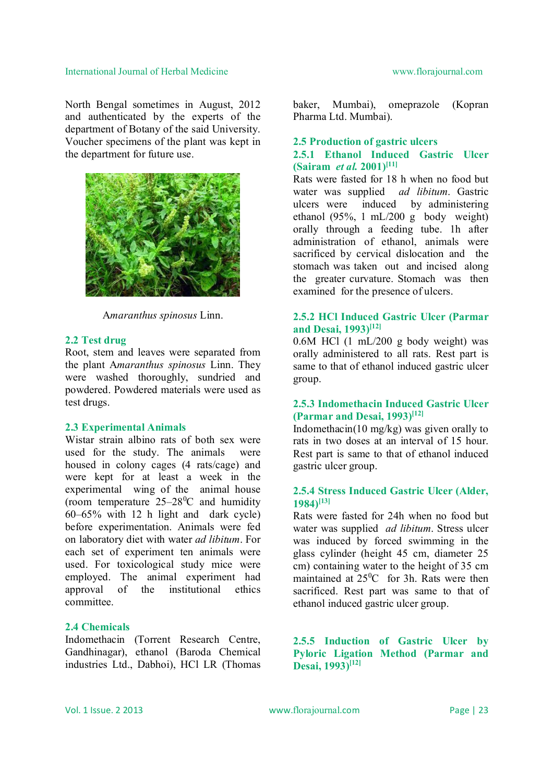North Bengal sometimes in August, 2012 and authenticated by the experts of the department of Botany of the said University. Voucher specimens of the plant was kept in the department for future use.



A*maranthus spinosus* Linn.

#### **2.2 Test drug**

Root, stem and leaves were separated from the plant A*maranthus spinosus* Linn. They were washed thoroughly, sundried and powdered. Powdered materials were used as test drugs.

#### **2.3 Experimental Animals**

Wistar strain albino rats of both sex were used for the study. The animals were housed in colony cages (4 rats/cage) and were kept for at least a week in the experimental wing of the animal house (room temperature  $25-28$ <sup>o</sup>C and humidity 60–65% with 12 h light and dark cycle) before experimentation. Animals were fed on laboratory diet with water *ad libitum*. For each set of experiment ten animals were used. For toxicological study mice were employed. The animal experiment had approval of the institutional ethics committee.

#### **2.4 Chemicals**

Indomethacin (Torrent Research Centre, Gandhinagar), ethanol (Baroda Chemical industries Ltd., Dabhoi), HCl LR (Thomas

baker, Mumbai), omeprazole (Kopran Pharma Ltd. Mumbai).

## **2.5 Production of gastric ulcers**

### **2.5.1 Ethanol Induced Gastric Ulcer (Sairam** *et al.* **2001)[11]**

Rats were fasted for 18 h when no food but water was supplied *ad libitum*. Gastric ulcers were induced by administering ethanol (95%, 1 mL/200 g body weight) orally through a feeding tube. 1h after administration of ethanol, animals were sacrificed by cervical dislocation and the stomach was taken out and incised along the greater curvature. Stomach was then examined for the presence of ulcers.

### **2.5.2 HCl Induced Gastric Ulcer (Parmar and Desai, 1993)[12]**

0.6M HCl (1 mL/200 g body weight) was orally administered to all rats. Rest part is same to that of ethanol induced gastric ulcer group.

### **2.5.3 Indomethacin Induced Gastric Ulcer (Parmar and Desai, 1993)[12]**

Indomethacin(10 mg/kg) was given orally to rats in two doses at an interval of 15 hour. Rest part is same to that of ethanol induced gastric ulcer group.

#### **2.5.4 Stress Induced Gastric Ulcer (Alder, 1984)[13]**

Rats were fasted for 24h when no food but water was supplied *ad libitum*. Stress ulcer was induced by forced swimming in the glass cylinder (height 45 cm, diameter 25 cm) containing water to the height of 35 cm maintained at  $25\text{°C}$  for 3h. Rats were then sacrificed. Rest part was same to that of ethanol induced gastric ulcer group.

### **2.5.5 Induction of Gastric Ulcer by Pyloric Ligation Method (Parmar and Desai, 1993)[12]**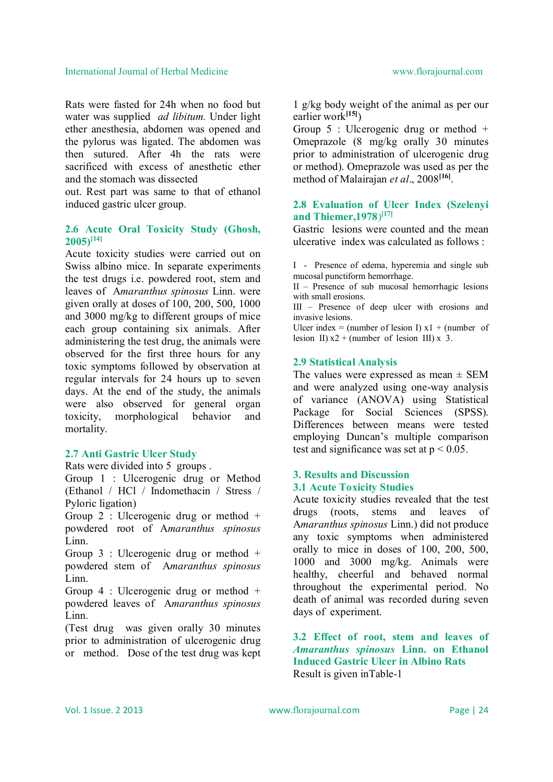Rats were fasted for 24h when no food but water was supplied *ad libitum.* Under light ether anesthesia, abdomen was opened and the pylorus was ligated. The abdomen was then sutured. After 4h the rats were sacrificed with excess of anesthetic ether and the stomach was dissected

out. Rest part was same to that of ethanol induced gastric ulcer group.

### **2.6 Acute Oral Toxicity Study (Ghosh, 2005)[14]**

Acute toxicity studies were carried out on Swiss albino mice. In separate experiments the test drugs i.e. powdered root, stem and leaves of A*maranthus spinosus* Linn. were given orally at doses of 100, 200, 500, 1000 and 3000 mg/kg to different groups of mice each group containing six animals. After administering the test drug, the animals were observed for the first three hours for any toxic symptoms followed by observation at regular intervals for 24 hours up to seven days. At the end of the study, the animals were also observed for general organ toxicity, morphological behavior and mortality.

#### **2.7 Anti Gastric Ulcer Study**

Rats were divided into 5 groups .

Group 1 : Ulcerogenic drug or Method (Ethanol / HCl / Indomethacin / Stress / Pyloric ligation)

Group 2 : Ulcerogenic drug or method + powdered root of A*maranthus spinosus*  Linn.

Group 3 : Ulcerogenic drug or method + powdered stem of A*maranthus spinosus*  Linn.

Group 4 : Ulcerogenic drug or method + powdered leaves of A*maranthus spinosus*  Linn.

(Test drug was given orally 30 minutes prior to administration of ulcerogenic drug or method. Dose of the test drug was kept 1 g/kg body weight of the animal as per our earlier work**[15]**)

Group  $5$  : Ulcerogenic drug or method  $+$ Omeprazole (8 mg/kg orally 30 minutes prior to administration of ulcerogenic drug or method). Omeprazole was used as per the method of Malairajan *et al*., 2008**[16]** .

### **2.8 Evaluation of Ulcer Index (Szelenyi and Thiemer,1978**) **[17]**

Gastric lesions were counted and the mean ulcerative index was calculated as follows :

I - Presence of edema, hyperemia and single sub mucosal punctiform hemorrhage.

II – Presence of sub mucosal hemorrhagic lesions with small erosions.

III – Presence of deep ulcer with erosions and invasive lesions.

Ulcer index = (number of lesion I)  $x1 + (number of$ lesion II)  $x^2$  + (number of lesion III) x 3.

#### **2.9 Statistical Analysis**

The values were expressed as mean  $\pm$  SEM and were analyzed using one-way analysis of variance (ANOVA) using Statistical Package for Social Sciences (SPSS). Differences between means were tested employing Duncan's multiple comparison test and significance was set at  $p < 0.05$ .

#### **3. Results and Discussion 3.1 Acute Toxicity Studies**

Acute toxicity studies revealed that the test drugs (roots, stems and leaves of A*maranthus spinosus* Linn.) did not produce any toxic symptoms when administered orally to mice in doses of 100, 200, 500, 1000 and 3000 mg/kg. Animals were healthy, cheerful and behaved normal throughout the experimental period. No death of animal was recorded during seven days of experiment.

**3.2 Effect of root, stem and leaves of**  *Amaranthus spinosus* **Linn. on Ethanol Induced Gastric Ulcer in Albino Rats** Result is given inTable-1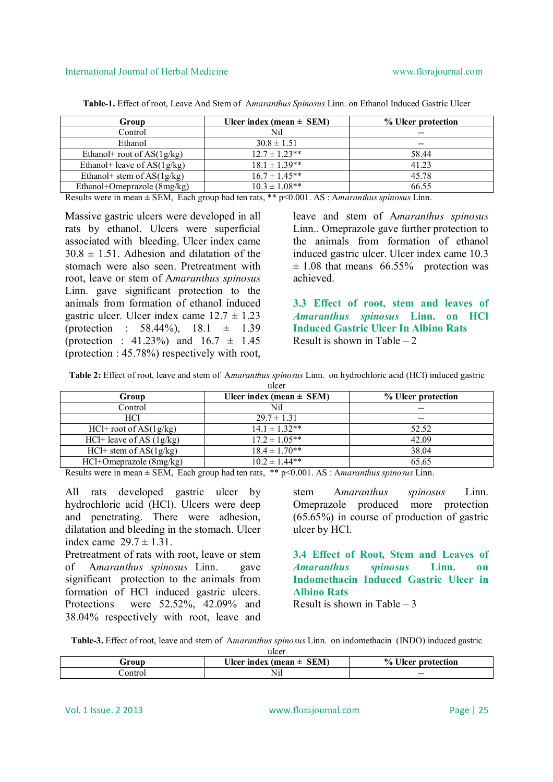| Group                         | Ulcer index (mean $\pm$ SEM) | % Ulcer protection |
|-------------------------------|------------------------------|--------------------|
| Control                       | Nil                          | --                 |
| Ethanol                       | $30.8 \pm 1.51$              | $- -$              |
| Ethanol+ root of $AS(1g/kg)$  | $12.7 \pm 1.23$ **           | 58.44              |
| Ethanol+ leave of $AS(1g/kg)$ | $18.1 \pm 1.39**$            | 41.23              |
| Ethanol + stem of $AS(1g/kg)$ | $16.7 \pm 1.45**$            | 45.78              |
| Ethanol+Omeprazole (8mg/kg)   | $10.3 \pm 1.08$ **           | 66.55              |

**Table-1.** Effect of root, Leave And Stem of A*maranthus Spinosus* Linn. on Ethanol Induced Gastric Ulcer

Results were in mean ± SEM, Each group had ten rats, \*\* p<0.001. AS : A*maranthus spinosus* Linn.

Massive gastric ulcers were developed in all rats by ethanol. Ulcers were superficial associated with bleeding. Ulcer index came  $30.8 \pm 1.51$  Adhesion and dilatation of the stomach were also seen. Pretreatment with root, leave or stem of A*maranthus spinosus*  Linn. gave significant protection to the animals from formation of ethanol induced gastric ulcer. Ulcer index came  $12.7 \pm 1.23$ (protection : 58.44%), 18.1 ± 1.39 (protection : 41.23%) and  $16.7 \pm 1.45$ (protection : 45.78%) respectively with root,

leave and stem of A*maranthus spinosus*  Linn.. Omeprazole gave further protection to the animals from formation of ethanol induced gastric ulcer. Ulcer index came 10.3  $\pm$  1.08 that means 66.55% protection was achieved.

**3.3 Effect of root, stem and leaves of**  *Amaranthus spinosus* **Linn. on HCl Induced Gastric Ulcer In Albino Rats** Result is shown in Table  $-2$ 

**Table 2:** Effect of root, leave and stem of A*maranthus spinosus* Linn. on hydrochloric acid (HCl) induced gastric

| ulcer                        |                                 |                          |  |
|------------------------------|---------------------------------|--------------------------|--|
| Group                        | Ulcer index (mean $\pm$ SEM)    | % Ulcer protection       |  |
| Control                      | Nil                             | --                       |  |
| <b>HCl</b>                   | $29.7 \pm 1.31$                 | $\overline{\phantom{m}}$ |  |
| $HCl$ + root of AS(1g/kg)    | $14.1 \pm 1.32**$               | 52.52                    |  |
| $HCl+$ leave of AS $(1g/kg)$ | $17.2 \pm \overline{1.05^{**}}$ | 42.09                    |  |
| $HCl+$ stem of $AS(1g/kg)$   | $18.4 \pm 1.70**$               | 38.04                    |  |
| HCl+Omeprazole (8mg/kg)      | $10.2 \pm 1.44$ **              | 65.65                    |  |

Results were in mean ± SEM, Each group had ten rats, \*\* p<0.001. AS : A*maranthus spinosus* Linn.

All rats developed gastric ulcer by hydrochloric acid (HCl). Ulcers were deep and penetrating. There were adhesion, dilatation and bleeding in the stomach. Ulcer index came  $29.7 \pm 1.31$ 

Pretreatment of rats with root, leave or stem of A*maranthus spinosus* Linn. gave significant protection to the animals from formation of HCl induced gastric ulcers. Protections were 52.52%, 42.09% and 38.04% respectively with root, leave and stem A*maranthus spinosus* Linn. Omeprazole produced more protection (65.65%) in course of production of gastric ulcer by HCl.

**3.4 Effect of Root, Stem and Leaves of**  *Amaranthus spinosus* **Linn. on Indomethacin Induced Gastric Ulcer in Albino Rats**

Result is shown in Table  $-3$ 

**Table-3.** Effect of root, leave and stem of A*maranthus spinosus* Linn. on indomethacin (INDO) induced gastric  $ulcar$ 

| urvu          |                                          |                                             |
|---------------|------------------------------------------|---------------------------------------------|
| $\bf{G}$ roup | <b>SEM</b><br>- 73<br>Ulcer index (mean- | $\frac{0}{0}$<br>$- - -$<br>Heer protection |
| ontrol        | $-$<br>'NII                              | $- -$<br>____                               |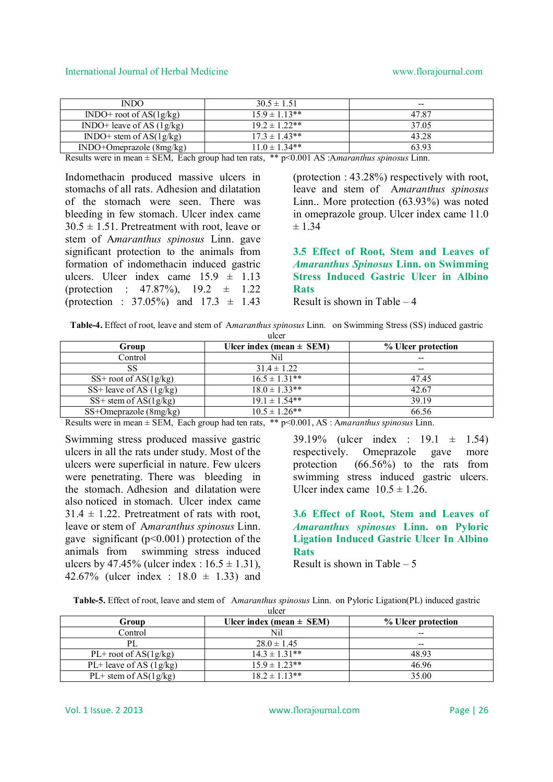| <b>INDO</b>                       | $30.5 \pm 1.51$    | $- -$ |
|-----------------------------------|--------------------|-------|
| $\text{INDO}^+$ root of AS(1g/kg) | $15.9 \pm 1.13**$  | 47.87 |
| INDO+ leave of AS $(1g/kg)$       | $19.2 \pm 1.22**$  | 37.05 |
| $\text{INDO+}$ stem of AS(1g/kg)  | $17.3 \pm 1.43$ ** | 43.28 |
| INDO+Omeprazole (8mg/kg)          | $11.0 \pm 1.34**$  | 63.93 |

Results were in mean ± SEM, Each group had ten rats, \*\* p<0.001 AS :A*maranthus spinosus* Linn.

Indomethacin produced massive ulcers in stomachs of all rats. Adhesion and dilatation of the stomach were seen. There was bleeding in few stomach. Ulcer index came  $30.5 \pm 1.51$ . Pretreatment with root, leave or stem of A*maranthus spinosus* Linn. gave significant protection to the animals from formation of indomethacin induced gastric ulcers. Ulcer index came  $15.9 \pm 1.13$ (protection : 47.87%),  $19.2 \pm 1.22$ (protection :  $37.05\%$ ) and  $17.3 \pm 1.43$ 

(protection : 43.28%) respectively with root, leave and stem of A*maranthus spinosus*  Linn.. More protection (63.93%) was noted in omeprazole group. Ulcer index came 11.0  $\pm$  1.34

**3.5 Effect of Root, Stem and Leaves of**  *Amaranthus Spinosus* **Linn. on Swimming Stress Induced Gastric Ulcer in Albino Rats**

Result is shown in Table – 4

|  |  | Table-4. Effect of root, leave and stem of Amaranthus spinosus Linn. on Swimming Stress (SS) induced gastric |
|--|--|--------------------------------------------------------------------------------------------------------------|
|--|--|--------------------------------------------------------------------------------------------------------------|

| Group                     | Ulcer index (mean $\pm$ SEM) | % Ulcer protection       |
|---------------------------|------------------------------|--------------------------|
| Control                   | Nil                          |                          |
| SS                        | $31.4 \pm 1.22$              | $\overline{\phantom{m}}$ |
| $SS+$ root of AS(1g/kg)   | $16.5 \pm 1.31**$            | 47.45                    |
| SS+ leave of AS $(1g/kg)$ | $18.0 \pm 1.33**$            | 42.67                    |
| $SS+$ stem of $AS(1g/kg)$ | $19.1 \pm 1.54**$            | 39.19                    |
| SS+Omeprazole (8mg/kg)    | $10.5 \pm 1.26$ **           | 66.56                    |

Results were in mean ± SEM, Each group had ten rats, \*\* p<0.001, AS : A*maranthus spinosus* Linn.

Swimming stress produced massive gastric ulcers in all the rats under study. Most of the ulcers were superficial in nature. Few ulcers were penetrating. There was bleeding in the stomach. Adhesion and dilatation were also noticed in stomach. Ulcer index came  $31.4 \pm 1.22$  Pretreatment of rats with root leave or stem of A*maranthus spinosus* Linn. gave significant  $(p<0.001)$  protection of the animals from swimming stress induced ulcers by 47.45% (ulcer index :  $16.5 \pm 1.31$ ), 42.67% (ulcer index : 18.0 ± 1.33) and

39.19% (ulcer index : 19.1 ± 1.54) respectively. Omeprazole gave more protection (66.56%) to the rats from swimming stress induced gastric ulcers. Ulcer index came  $10.5 \pm 1.26$ .

**3.6 Effect of Root, Stem and Leaves of**  *Amaranthus spinosus* **Linn. on Pyloric Ligation Induced Gastric Ulcer In Albino Rats**

Result is shown in Table  $-5$ 

|  |  | Table-5. Effect of root, leave and stem of Amaranthus spinosus Linn. on Pyloric Ligation(PL) induced gastric |
|--|--|--------------------------------------------------------------------------------------------------------------|
|--|--|--------------------------------------------------------------------------------------------------------------|

|--|

| Group                     | Ulcer index (mean $\pm$ SEM) | % Ulcer protection       |
|---------------------------|------------------------------|--------------------------|
| Control                   | Nil                          | $\overline{\phantom{m}}$ |
| PI.                       | $28.0 \pm 1.45$              | $- -$                    |
| $PL+$ root of AS(1g/kg)   | $14.3 \pm 1.31**$            | 48.93                    |
| $PL+$ leave of AS (1g/kg) | $15.9 \pm 1.23$ **           | 46.96                    |
| $PL+$ stem of AS(1g/kg)   | $18.2 \pm 1.13**$            | 35.00                    |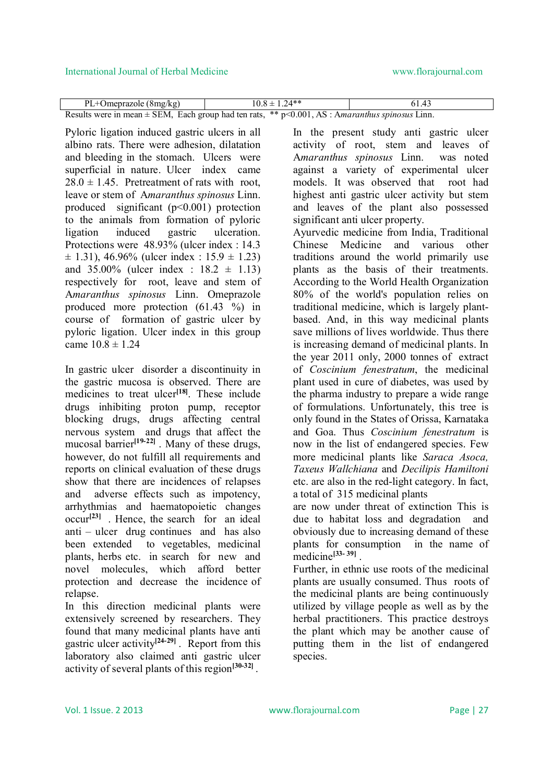| $PL+Omegazole$ (8mg/kg)                                                                                | $10.8 \pm 1.24$ ** | 61.43 |
|--------------------------------------------------------------------------------------------------------|--------------------|-------|
| Results were in mean $\pm$ SEM, Each group had ten rats, ** $p$ <0.001, AS : Amaranthus spinosus Linn. |                    |       |

Pyloric ligation induced gastric ulcers in all albino rats. There were adhesion, dilatation and bleeding in the stomach. Ulcers were superficial in nature. Ulcer index came  $28.0 \pm 1.45$ . Pretreatment of rats with root, leave or stem of A*maranthus spinosus* Linn. produced significant (p<0.001) protection to the animals from formation of pyloric ligation induced gastric ulceration. Protections were 48.93% (ulcer index : 14.3  $\pm$  1.31), 46.96% (ulcer index : 15.9  $\pm$  1.23) and  $35.00\%$  (ulcer index :  $18.2 \pm 1.13$ ) respectively for root, leave and stem of A*maranthus spinosus* Linn. Omeprazole produced more protection (61.43 %) in course of formation of gastric ulcer by pyloric ligation. Ulcer index in this group came  $10.8 \pm 1.24$ 

In gastric ulcer disorder a discontinuity in the gastric mucosa is observed. There are medicines to treat ulcer<sup>[18]</sup>. These include drugs inhibiting proton pump, receptor blocking drugs, drugs affecting central nervous system and drugs that affect the mucosal barrier<sup>[19-22]</sup>. Many of these drugs, however, do not fulfill all requirements and reports on clinical evaluation of these drugs show that there are incidences of relapses and adverse effects such as impotency, arrhythmias and haematopoietic changes occur**[23]** . Hence, the search for an ideal anti – ulcer drug continues and has also been extended to vegetables, medicinal plants, herbs etc. in search for new and novel molecules, which afford better protection and decrease the incidence of relapse.

In this direction medicinal plants were extensively screened by researchers. They found that many medicinal plants have anti gastric ulcer activity**[24-29]** . Report from this laboratory also claimed anti gastric ulcer activity of several plants of this region**[30-32]** .

In the present study anti gastric ulcer activity of root, stem and leaves of A*maranthus spinosus* Linn. was noted against a variety of experimental ulcer models. It was observed that root had highest anti gastric ulcer activity but stem and leaves of the plant also possessed significant anti ulcer property.

Ayurvedic medicine from India, Traditional Chinese Medicine and various other traditions around the world primarily use plants as the basis of their treatments. According to the World Health Organization 80% of the world's population relies on traditional medicine, which is largely plantbased. And, in this way medicinal plants save millions of lives worldwide. Thus there is increasing demand of medicinal plants. In the year 2011 only, 2000 tonnes of extract of *Coscinium fenestratum*, the medicinal plant used in cure of diabetes, was used by the pharma industry to prepare a wide range of formulations. Unfortunately, this tree is only found in the States of Orissa, Karnataka and Goa. Thus *Coscinium fenestratum* is now in the list of endangered species. Few more medicinal plants like *Saraca Asoca, Taxeus Wallchiana* and *Decilipis Hamiltoni* etc. are also in the red-light category. In fact, a total of 315 medicinal plants

are now under threat of extinction This is due to habitat loss and degradation and obviously due to increasing demand of these plants for consumption in the name of medicine**[33- 39]** .

Further, in ethnic use roots of the medicinal plants are usually consumed. Thus roots of the medicinal plants are being continuously utilized by village people as well as by the herbal practitioners. This practice destroys the plant which may be another cause of putting them in the list of endangered species.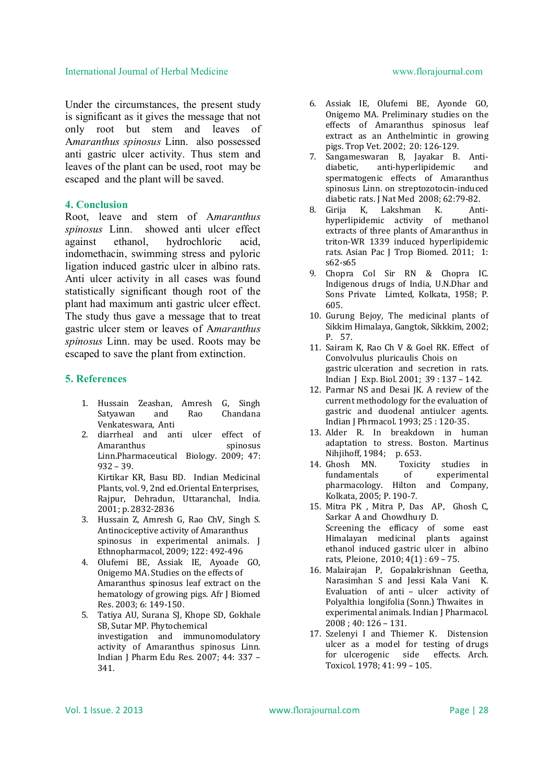Under the circumstances, the present study is significant as it gives the message that not only root but stem and leaves of A*maranthus spinosus* Linn. also possessed anti gastric ulcer activity. Thus stem and leaves of the plant can be used, root may be escaped and the plant will be saved.

#### **4. Conclusion**

Root, leave and stem of A*maranthus spinosus* Linn. showed anti ulcer effect against ethanol, hydrochloric acid, indomethacin, swimming stress and pyloric ligation induced gastric ulcer in albino rats. Anti ulcer activity in all cases was found statistically significant though root of the plant had maximum anti gastric ulcer effect. The study thus gave a message that to treat gastric ulcer stem or leaves of A*maranthus spinosus* Linn. may be used. Roots may be escaped to save the plant from extinction.

#### **5. References**

- 1. Hussain Zeashan, Amresh G, Singh Satyawan and Rao Chandana Venkateswara, Anti
- 2. diarrheal and anti ulcer effect of Amaranthus spinosus Linn.Pharmaceutical Biology. 2009; 47: 932 – 39.

Kirtikar KR, Basu BD. Indian Medicinal Plants, vol. 9, 2nd ed.Oriental Enterprises, Rajpur, Dehradun, Uttaranchal, India. 2001; p. 2832-2836

- 3. Hussain Z, Amresh G, Rao ChV, Singh S. Antinociceptive activity of Amaranthus spinosus in experimental animals. J Ethnopharmacol, 2009; 122: 492-496
- 4. Olufemi BE, Assiak IE, Ayoade GO, Onigemo MA. Studies on the effects of Amaranthus spinosus leaf extract on the hematology of growing pigs. Afr J Biomed Res. 2003; 6: 149-150.
- 5. Tatiya AU, Surana SJ, Khope SD, Gokhale SB, Sutar MP. Phytochemical investigation and immunomodulatory activity of Amaranthus spinosus Linn. Indian J Pharm Edu Res. 2007; 44: 337 – 341.
- 6. Assiak IE, Olufemi BE, Ayonde GO, Onigemo MA. Preliminary studies on the effects of Amaranthus spinosus leaf extract as an Anthelmintic in growing pigs. Trop Vet. 2002; 20: 126-129.
- 7. Sangameswaran B, Jayakar B. Antidiabetic, anti-hyperlipidemic and spermatogenic effects of Amaranthus spinosus Linn. on streptozotocin-induced diabetic rats. J Nat Med 2008; 62:79-82.<br>Girija K. Lakshman K. Ant
- 8. Girija K, Lakshman K. Antihyperlipidemic activity of methanol extracts of three plants of Amaranthus in triton-WR 1339 induced hyperlipidemic rats. Asian Pac J Trop Biomed. 2011; 1: s62-s65
- 9. Chopra Col Sir RN & Chopra IC. Indigenous drugs of India, U.N.Dhar and Sons Private Limted, Kolkata, 1958; P. 605.
- 10. Gurung Bejoy, The medicinal plants of Sikkim Himalaya, Gangtok, Sikkkim, 2002; P. 57.
- 11. Sairam K, Rao Ch V & Goel RK. Effect of Convolvulus pluricaulis Chois on gastric ulceration and secretion in rats. Indian J Exp. Biol. 2001; 39 : 137 – 142.
- 12. Parmar NS and Desai JK. A review of the current methodology for the evaluation of gastric and duodenal antiulcer agents. Indian J Phrmacol. 1993; 25 : 120-35.
- 13. Alder R. In breakdown in human adaptation to stress. Boston. Martinus Nihiihoff, 1984; p. 653.
- 14. Ghosh MN. Toxicity studies in fundamentals of experimental pharmacology. Hilton and Company, Kolkata, 2005; P. 190-7.
- 15. Mitra PK , Mitra P, Das AP, Ghosh C, Sarkar A and Chowdhury D. Screening the efficacy of some east Himalayan medicinal plants against ethanol induced gastric ulcer in albino rats, Pleione, 2010; 4(1) : 69 – 75.
- 16. Malairajan P, Gopalakrishnan Geetha, Narasimhan S and Jessi Kala Vani K. Evaluation of anti – ulcer activity of Polyalthia longifolia (Sonn.) Thwaites in experimental animals. Indian J Pharmacol. 2008 ; 40: 126 – 131.
- 17. Szelenyi I and Thiemer K. Distension ulcer as a model for testing of drugs for ulcerogenic side effects. Arch. Toxicol. 1978; 41: 99 – 105.